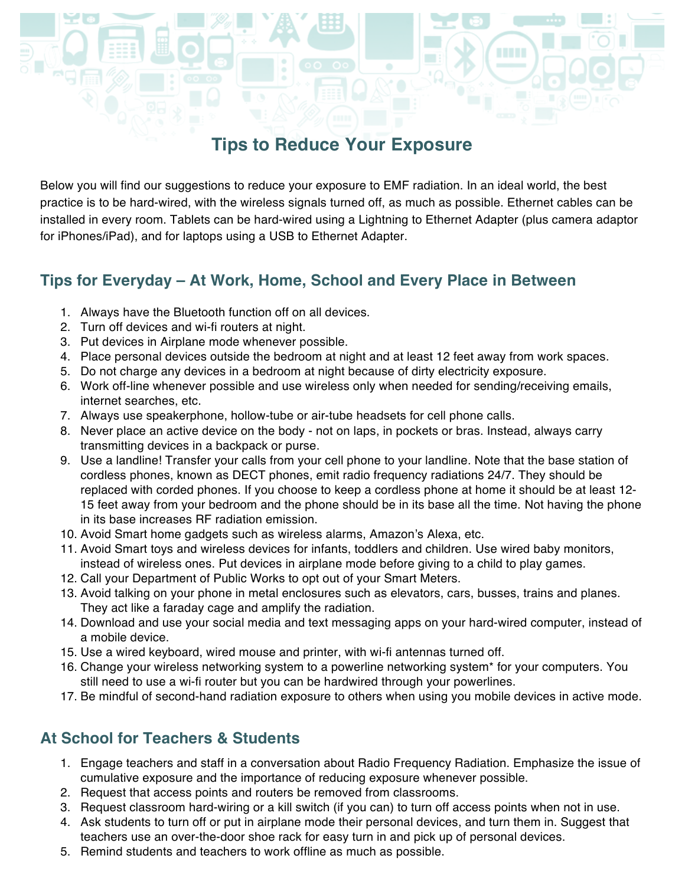## **Tips to Reduce Your Exposure**

Below you will find our suggestions to reduce your exposure to EMF radiation. In an ideal world, the best practice is to be hard-wired, with the wireless signals turned off, as much as possible. Ethernet cables can be installed in every room. Tablets can be hard-wired using a Lightning to Ethernet Adapter (plus camera adaptor for iPhones/iPad), and for laptops using a USB to Ethernet Adapter.

### **Tips for Everyday – At Work, Home, School and Every Place in Between**

- 1. Always have the Bluetooth function off on all devices.
- 2. Turn off devices and wi-fi routers at night.
- 3. Put devices in Airplane mode whenever possible.
- 4. Place personal devices outside the bedroom at night and at least 12 feet away from work spaces.
- 5. Do not charge any devices in a bedroom at night because of dirty electricity exposure.
- 6. Work off-line whenever possible and use wireless only when needed for sending/receiving emails, internet searches, etc.
- 7. Always use speakerphone, hollow-tube or air-tube headsets for cell phone calls.
- 8. Never place an active device on the body not on laps, in pockets or bras. Instead, always carry transmitting devices in a backpack or purse.
- 9. Use a landline! Transfer your calls from your cell phone to your landline. Note that the base station of cordless phones, known as DECT phones, emit radio frequency radiations 24/7. They should be replaced with corded phones. If you choose to keep a cordless phone at home it should be at least 12- 15 feet away from your bedroom and the phone should be in its base all the time. Not having the phone in its base increases RF radiation emission.
- 10. Avoid Smart home gadgets such as wireless alarms, Amazon's Alexa, etc.
- 11. Avoid Smart toys and wireless devices for infants, toddlers and children. Use wired baby monitors, instead of wireless ones. Put devices in airplane mode before giving to a child to play games.
- 12. Call your Department of Public Works to opt out of your Smart Meters.
- 13. Avoid talking on your phone in metal enclosures such as elevators, cars, busses, trains and planes. They act like a faraday cage and amplify the radiation.
- 14. Download and use your social media and text messaging apps on your hard-wired computer, instead of a mobile device.
- 15. Use a wired keyboard, wired mouse and printer, with wi-fi antennas turned off.
- 16. Change your wireless networking system to a powerline networking system\* for your computers. You still need to use a wi-fi router but you can be hardwired through your powerlines.
- 17. Be mindful of second-hand radiation exposure to others when using you mobile devices in active mode.

#### **At School for Teachers & Students**

- 1. Engage teachers and staff in a conversation about Radio Frequency Radiation. Emphasize the issue of cumulative exposure and the importance of reducing exposure whenever possible.
- 2. Request that access points and routers be removed from classrooms.
- 3. Request classroom hard-wiring or a kill switch (if you can) to turn off access points when not in use.
- 4. Ask students to turn off or put in airplane mode their personal devices, and turn them in. Suggest that teachers use an over-the-door shoe rack for easy turn in and pick up of personal devices.
- 5. Remind students and teachers to work offline as much as possible.